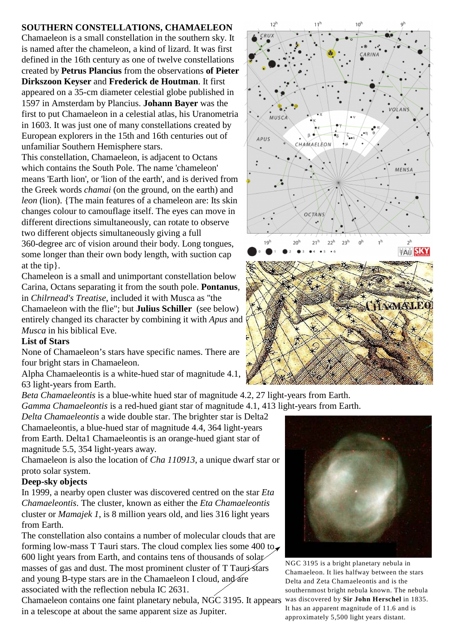## **SOUTHERN CONSTELLATIONS, CHAMAELEON**

Chamaeleon is a small constellation in the southern sky. It is named after the chameleon, a kind of lizard. It was first defined in the 16th century as one of twelve constellations created by **Petrus Plancius** from the observations **of Pieter Dirkszoon Keyser** and **Frederick de Houtman**. It first appeared on a 35-cm diameter celestial globe published in 1597 in Amsterdam by Plancius. **Johann Bayer** was the first to put Chamaeleon in a celestial atlas, his Uranometria in 1603. It was just one of many constellations created by European explorers in the 15th and 16th centuries out of unfamiliar Southern Hemisphere stars.

This constellation, Chamaeleon, is adjacent to Octans which contains the South Pole. The name 'chameleon' means 'Earth lion', or 'lion of the earth', and is derived from the Greek words *chamai* (on the ground, on the earth) and *leon* (lion). {The main features of a chameleon are: Its skin changes colour to camouflage itself. The eyes can move in different directions simultaneously, can rotate to observe two different objects simultaneously giving a full 360-degree arc of vision around their body. Long tongues, some longer than their own body length, with suction cap at the tip}.

Chameleon is a small and unimportant constellation below Carina, Octans separating it from the south pole. **Pontanus**, in *Chilrnead's Treatise*, included it with Musca as "the Chamaeleon with the flie"; but **Julius Schiller** (see below) entirely changed its character by combining it with *Apus* and *Musca* in his biblical Eve.

## **List of Stars**

None of Chamaeleon's stars have specific names. There are four bright stars in Chamaeleon.

Alpha Chamaeleontis is a white-hued star of magnitude 4.1, 63 light-years from Earth.

*Beta Chamaeleontis* is a blue-white hued star of magnitude 4.2, 27 light-years from Earth. *Gamma Chamaeleontis* is a red-hued giant star of magnitude 4.1, 413 light-years from Earth.

*Delta Chamaeleontis* a wide double star. The brighter star is Delta2 Chamaeleontis, a blue-hued star of magnitude 4.4, 364 light-years from Earth. Delta1 Chamaeleontis is an orange-hued giant star of magnitude 5.5, 354 light-years away.

Chamaeleon is also the location of *Cha 110913*, a unique dwarf star or proto solar system.

## **Deep-sky objects**

In 1999, a nearby open cluster was discovered centred on the star *Eta Chamaeleontis*. The cluster, known as either the *Eta Chamaeleontis* cluster or *Mamajek 1*, is 8 million years old, and lies 316 light years from Earth.

The constellation also contains a number of molecular clouds that are forming low-mass T Tauri stars. The cloud complex lies some  $400$  to 600 light years from Earth, and contains tens of thousands of solar masses of gas and dust. The most prominent cluster of T Tauri stars and young B-type stars are in the Chamaeleon I cloud, and are associated with the reflection nebula IC 2631.

Chamaeleon contains one faint planetary nebula, NGC 3195. It appears in a telescope at about the same apparent size as Jupiter.





NGC 3195 is a bright planetary nebula in Chamaeleon. It lies halfway between the stars Delta and Zeta Chamaeleontis and is the southernmost bright nebula known. The nebula was discovered by **Sir John Herschel** in 1835. It has an apparent magnitude of 11.6 and is approximately 5,500 light years distant.